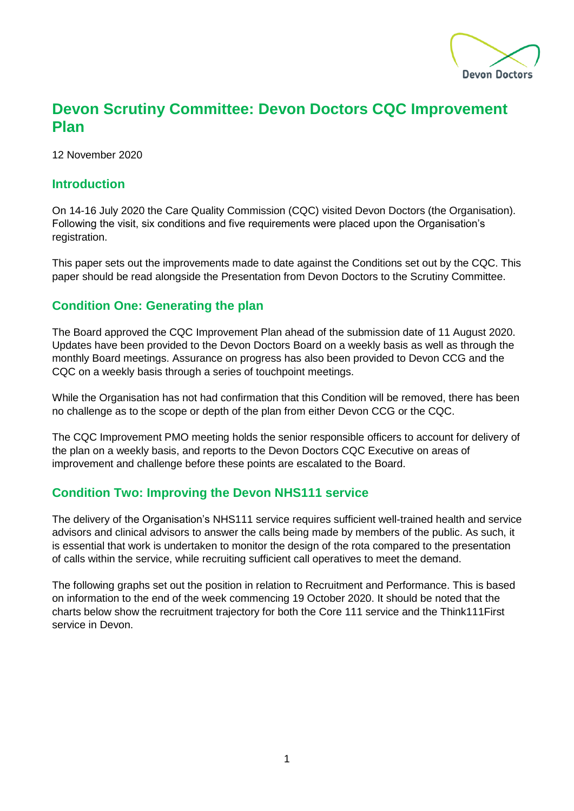

# **Devon Scrutiny Committee: Devon Doctors CQC Improvement Plan**

12 November 2020

### **Introduction**

On 14-16 July 2020 the Care Quality Commission (CQC) visited Devon Doctors (the Organisation). Following the visit, six conditions and five requirements were placed upon the Organisation's registration.

This paper sets out the improvements made to date against the Conditions set out by the CQC. This paper should be read alongside the Presentation from Devon Doctors to the Scrutiny Committee.

## **Condition One: Generating the plan**

The Board approved the CQC Improvement Plan ahead of the submission date of 11 August 2020. Updates have been provided to the Devon Doctors Board on a weekly basis as well as through the monthly Board meetings. Assurance on progress has also been provided to Devon CCG and the CQC on a weekly basis through a series of touchpoint meetings.

While the Organisation has not had confirmation that this Condition will be removed, there has been no challenge as to the scope or depth of the plan from either Devon CCG or the CQC.

The CQC Improvement PMO meeting holds the senior responsible officers to account for delivery of the plan on a weekly basis, and reports to the Devon Doctors CQC Executive on areas of improvement and challenge before these points are escalated to the Board.

## **Condition Two: Improving the Devon NHS111 service**

The delivery of the Organisation's NHS111 service requires sufficient well-trained health and service advisors and clinical advisors to answer the calls being made by members of the public. As such, it is essential that work is undertaken to monitor the design of the rota compared to the presentation of calls within the service, while recruiting sufficient call operatives to meet the demand.

The following graphs set out the position in relation to Recruitment and Performance. This is based on information to the end of the week commencing 19 October 2020. It should be noted that the charts below show the recruitment trajectory for both the Core 111 service and the Think111First service in Devon.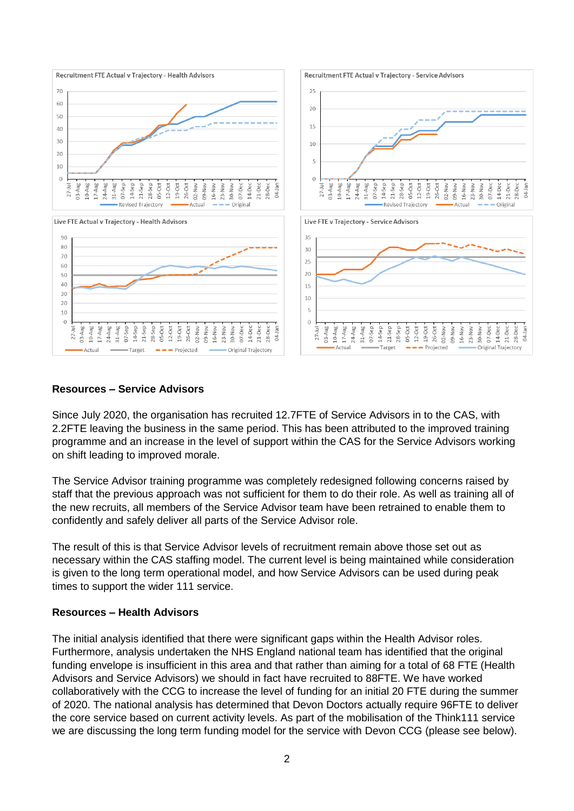

#### **Resources – Service Advisors**

Since July 2020, the organisation has recruited 12.7FTE of Service Advisors in to the CAS, with 2.2FTE leaving the business in the same period. This has been attributed to the improved training programme and an increase in the level of support within the CAS for the Service Advisors working on shift leading to improved morale.

The Service Advisor training programme was completely redesigned following concerns raised by staff that the previous approach was not sufficient for them to do their role. As well as training all of the new recruits, all members of the Service Advisor team have been retrained to enable them to confidently and safely deliver all parts of the Service Advisor role.

The result of this is that Service Advisor levels of recruitment remain above those set out as necessary within the CAS staffing model. The current level is being maintained while consideration is given to the long term operational model, and how Service Advisors can be used during peak times to support the wider 111 service.

#### **Resources – Health Advisors**

The initial analysis identified that there were significant gaps within the Health Advisor roles. Furthermore, analysis undertaken the NHS England national team has identified that the original funding envelope is insufficient in this area and that rather than aiming for a total of 68 FTE (Health Advisors and Service Advisors) we should in fact have recruited to 88FTE. We have worked collaboratively with the CCG to increase the level of funding for an initial 20 FTE during the summer of 2020. The national analysis has determined that Devon Doctors actually require 96FTE to deliver the core service based on current activity levels. As part of the mobilisation of the Think111 service we are discussing the long term funding model for the service with Devon CCG (please see below).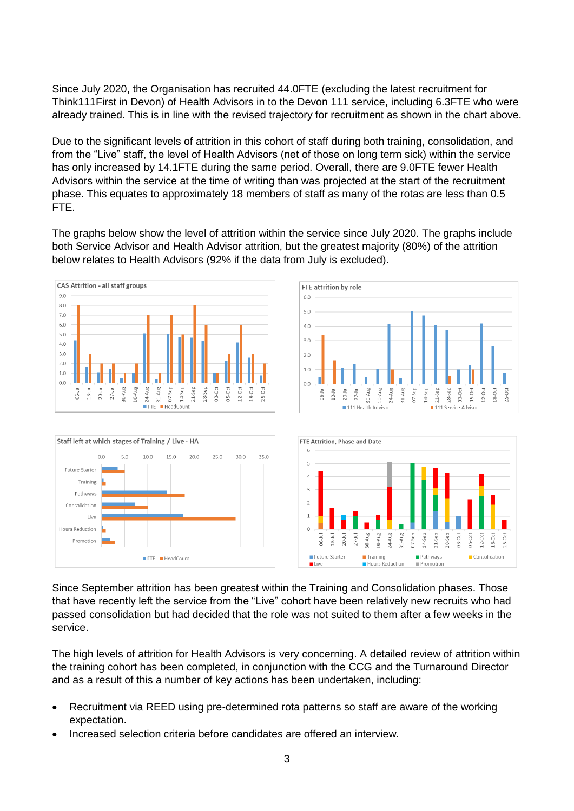Since July 2020, the Organisation has recruited 44.0FTE (excluding the latest recruitment for Think111First in Devon) of Health Advisors in to the Devon 111 service, including 6.3FTE who were already trained. This is in line with the revised trajectory for recruitment as shown in the chart above.

Due to the significant levels of attrition in this cohort of staff during both training, consolidation, and from the "Live" staff, the level of Health Advisors (net of those on long term sick) within the service has only increased by 14.1FTE during the same period. Overall, there are 9.0FTE fewer Health Advisors within the service at the time of writing than was projected at the start of the recruitment phase. This equates to approximately 18 members of staff as many of the rotas are less than 0.5 FTE.

The graphs below show the level of attrition within the service since July 2020. The graphs include both Service Advisor and Health Advisor attrition, but the greatest majority (80%) of the attrition below relates to Health Advisors (92% if the data from July is excluded).



Since September attrition has been greatest within the Training and Consolidation phases. Those that have recently left the service from the "Live" cohort have been relatively new recruits who had passed consolidation but had decided that the role was not suited to them after a few weeks in the service.

The high levels of attrition for Health Advisors is very concerning. A detailed review of attrition within the training cohort has been completed, in conjunction with the CCG and the Turnaround Director and as a result of this a number of key actions has been undertaken, including:

- Recruitment via REED using pre-determined rota patterns so staff are aware of the working expectation.
- Increased selection criteria before candidates are offered an interview.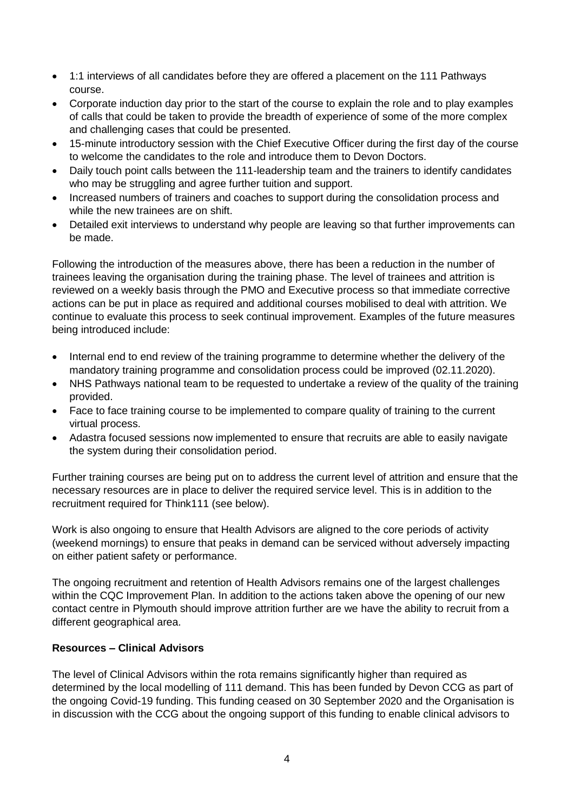- 1:1 interviews of all candidates before they are offered a placement on the 111 Pathways course.
- Corporate induction day prior to the start of the course to explain the role and to play examples of calls that could be taken to provide the breadth of experience of some of the more complex and challenging cases that could be presented.
- 15-minute introductory session with the Chief Executive Officer during the first day of the course to welcome the candidates to the role and introduce them to Devon Doctors.
- Daily touch point calls between the 111-leadership team and the trainers to identify candidates who may be struggling and agree further tuition and support.
- Increased numbers of trainers and coaches to support during the consolidation process and while the new trainees are on shift.
- Detailed exit interviews to understand why people are leaving so that further improvements can be made.

Following the introduction of the measures above, there has been a reduction in the number of trainees leaving the organisation during the training phase. The level of trainees and attrition is reviewed on a weekly basis through the PMO and Executive process so that immediate corrective actions can be put in place as required and additional courses mobilised to deal with attrition. We continue to evaluate this process to seek continual improvement. Examples of the future measures being introduced include:

- Internal end to end review of the training programme to determine whether the delivery of the mandatory training programme and consolidation process could be improved (02.11.2020).
- NHS Pathways national team to be requested to undertake a review of the quality of the training provided.
- Face to face training course to be implemented to compare quality of training to the current virtual process.
- Adastra focused sessions now implemented to ensure that recruits are able to easily navigate the system during their consolidation period.

Further training courses are being put on to address the current level of attrition and ensure that the necessary resources are in place to deliver the required service level. This is in addition to the recruitment required for Think111 (see below).

Work is also ongoing to ensure that Health Advisors are aligned to the core periods of activity (weekend mornings) to ensure that peaks in demand can be serviced without adversely impacting on either patient safety or performance.

The ongoing recruitment and retention of Health Advisors remains one of the largest challenges within the CQC Improvement Plan. In addition to the actions taken above the opening of our new contact centre in Plymouth should improve attrition further are we have the ability to recruit from a different geographical area.

#### **Resources – Clinical Advisors**

The level of Clinical Advisors within the rota remains significantly higher than required as determined by the local modelling of 111 demand. This has been funded by Devon CCG as part of the ongoing Covid-19 funding. This funding ceased on 30 September 2020 and the Organisation is in discussion with the CCG about the ongoing support of this funding to enable clinical advisors to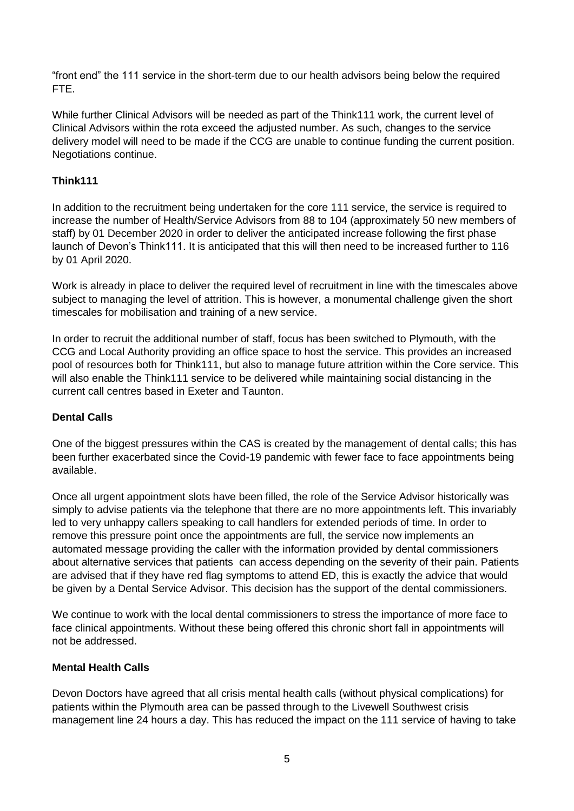"front end" the 111 service in the short-term due to our health advisors being below the required FTE.

While further Clinical Advisors will be needed as part of the Think111 work, the current level of Clinical Advisors within the rota exceed the adjusted number. As such, changes to the service delivery model will need to be made if the CCG are unable to continue funding the current position. Negotiations continue.

### **Think111**

In addition to the recruitment being undertaken for the core 111 service, the service is required to increase the number of Health/Service Advisors from 88 to 104 (approximately 50 new members of staff) by 01 December 2020 in order to deliver the anticipated increase following the first phase launch of Devon's Think111. It is anticipated that this will then need to be increased further to 116 by 01 April 2020.

Work is already in place to deliver the required level of recruitment in line with the timescales above subject to managing the level of attrition. This is however, a monumental challenge given the short timescales for mobilisation and training of a new service.

In order to recruit the additional number of staff, focus has been switched to Plymouth, with the CCG and Local Authority providing an office space to host the service. This provides an increased pool of resources both for Think111, but also to manage future attrition within the Core service. This will also enable the Think111 service to be delivered while maintaining social distancing in the current call centres based in Exeter and Taunton.

#### **Dental Calls**

One of the biggest pressures within the CAS is created by the management of dental calls; this has been further exacerbated since the Covid-19 pandemic with fewer face to face appointments being available.

Once all urgent appointment slots have been filled, the role of the Service Advisor historically was simply to advise patients via the telephone that there are no more appointments left. This invariably led to very unhappy callers speaking to call handlers for extended periods of time. In order to remove this pressure point once the appointments are full, the service now implements an automated message providing the caller with the information provided by dental commissioners about alternative services that patients can access depending on the severity of their pain. Patients are advised that if they have red flag symptoms to attend ED, this is exactly the advice that would be given by a Dental Service Advisor. This decision has the support of the dental commissioners.

We continue to work with the local dental commissioners to stress the importance of more face to face clinical appointments. Without these being offered this chronic short fall in appointments will not be addressed.

#### **Mental Health Calls**

Devon Doctors have agreed that all crisis mental health calls (without physical complications) for patients within the Plymouth area can be passed through to the Livewell Southwest crisis management line 24 hours a day. This has reduced the impact on the 111 service of having to take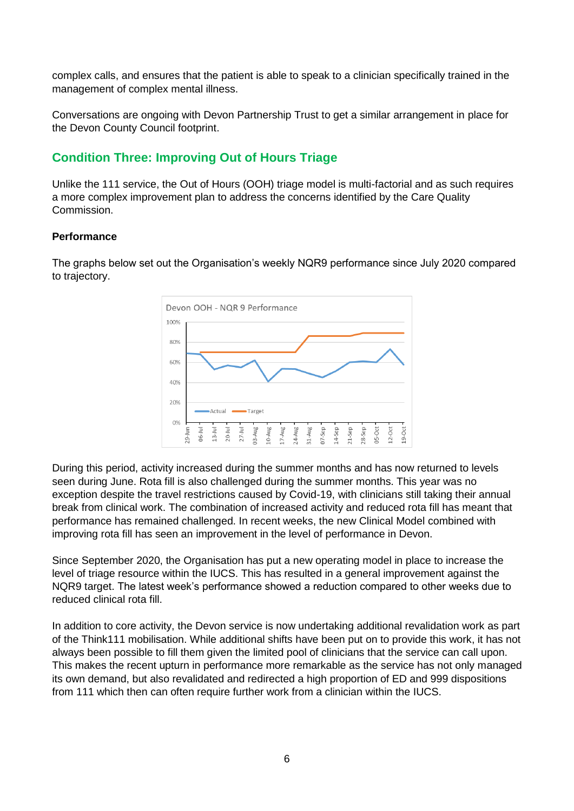complex calls, and ensures that the patient is able to speak to a clinician specifically trained in the management of complex mental illness.

Conversations are ongoing with Devon Partnership Trust to get a similar arrangement in place for the Devon County Council footprint.

## **Condition Three: Improving Out of Hours Triage**

Unlike the 111 service, the Out of Hours (OOH) triage model is multi-factorial and as such requires a more complex improvement plan to address the concerns identified by the Care Quality Commission.

#### **Performance**

The graphs below set out the Organisation's weekly NQR9 performance since July 2020 compared to trajectory.



During this period, activity increased during the summer months and has now returned to levels seen during June. Rota fill is also challenged during the summer months. This year was no exception despite the travel restrictions caused by Covid-19, with clinicians still taking their annual break from clinical work. The combination of increased activity and reduced rota fill has meant that performance has remained challenged. In recent weeks, the new Clinical Model combined with improving rota fill has seen an improvement in the level of performance in Devon.

Since September 2020, the Organisation has put a new operating model in place to increase the level of triage resource within the IUCS. This has resulted in a general improvement against the NQR9 target. The latest week's performance showed a reduction compared to other weeks due to reduced clinical rota fill.

In addition to core activity, the Devon service is now undertaking additional revalidation work as part of the Think111 mobilisation. While additional shifts have been put on to provide this work, it has not always been possible to fill them given the limited pool of clinicians that the service can call upon. This makes the recent upturn in performance more remarkable as the service has not only managed its own demand, but also revalidated and redirected a high proportion of ED and 999 dispositions from 111 which then can often require further work from a clinician within the IUCS.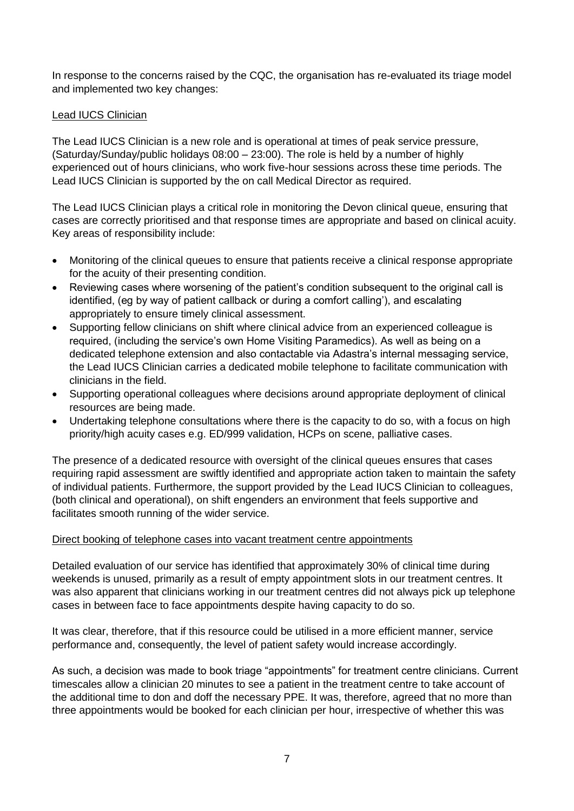In response to the concerns raised by the CQC, the organisation has re-evaluated its triage model and implemented two key changes:

#### Lead IUCS Clinician

The Lead IUCS Clinician is a new role and is operational at times of peak service pressure, (Saturday/Sunday/public holidays 08:00 – 23:00). The role is held by a number of highly experienced out of hours clinicians, who work five-hour sessions across these time periods. The Lead IUCS Clinician is supported by the on call Medical Director as required.

The Lead IUCS Clinician plays a critical role in monitoring the Devon clinical queue, ensuring that cases are correctly prioritised and that response times are appropriate and based on clinical acuity. Key areas of responsibility include:

- Monitoring of the clinical queues to ensure that patients receive a clinical response appropriate for the acuity of their presenting condition.
- Reviewing cases where worsening of the patient's condition subsequent to the original call is identified, (eg by way of patient callback or during a comfort calling'), and escalating appropriately to ensure timely clinical assessment.
- Supporting fellow clinicians on shift where clinical advice from an experienced colleague is required, (including the service's own Home Visiting Paramedics). As well as being on a dedicated telephone extension and also contactable via Adastra's internal messaging service, the Lead IUCS Clinician carries a dedicated mobile telephone to facilitate communication with clinicians in the field.
- Supporting operational colleagues where decisions around appropriate deployment of clinical resources are being made.
- Undertaking telephone consultations where there is the capacity to do so, with a focus on high priority/high acuity cases e.g. ED/999 validation, HCPs on scene, palliative cases.

The presence of a dedicated resource with oversight of the clinical queues ensures that cases requiring rapid assessment are swiftly identified and appropriate action taken to maintain the safety of individual patients. Furthermore, the support provided by the Lead IUCS Clinician to colleagues, (both clinical and operational), on shift engenders an environment that feels supportive and facilitates smooth running of the wider service.

#### Direct booking of telephone cases into vacant treatment centre appointments

Detailed evaluation of our service has identified that approximately 30% of clinical time during weekends is unused, primarily as a result of empty appointment slots in our treatment centres. It was also apparent that clinicians working in our treatment centres did not always pick up telephone cases in between face to face appointments despite having capacity to do so.

It was clear, therefore, that if this resource could be utilised in a more efficient manner, service performance and, consequently, the level of patient safety would increase accordingly.

As such, a decision was made to book triage "appointments" for treatment centre clinicians. Current timescales allow a clinician 20 minutes to see a patient in the treatment centre to take account of the additional time to don and doff the necessary PPE. It was, therefore, agreed that no more than three appointments would be booked for each clinician per hour, irrespective of whether this was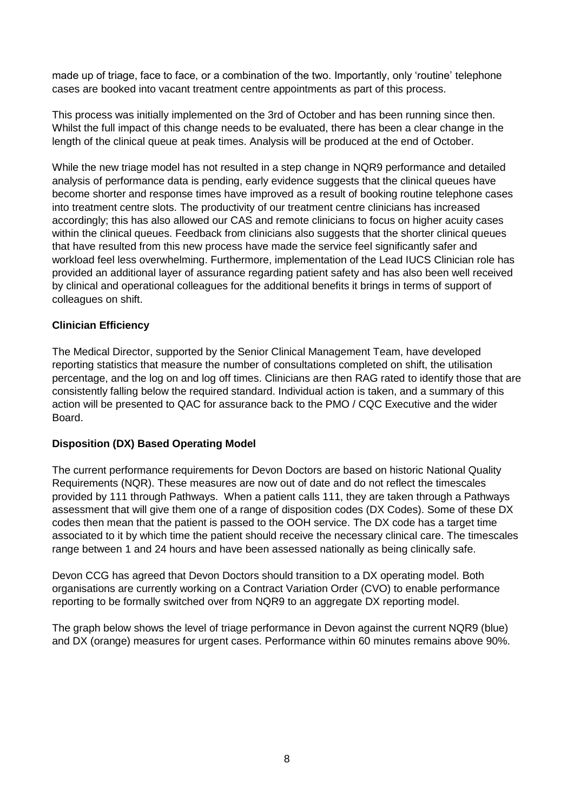made up of triage, face to face, or a combination of the two. Importantly, only 'routine' telephone cases are booked into vacant treatment centre appointments as part of this process.

This process was initially implemented on the 3rd of October and has been running since then. Whilst the full impact of this change needs to be evaluated, there has been a clear change in the length of the clinical queue at peak times. Analysis will be produced at the end of October.

While the new triage model has not resulted in a step change in NQR9 performance and detailed analysis of performance data is pending, early evidence suggests that the clinical queues have become shorter and response times have improved as a result of booking routine telephone cases into treatment centre slots. The productivity of our treatment centre clinicians has increased accordingly; this has also allowed our CAS and remote clinicians to focus on higher acuity cases within the clinical queues. Feedback from clinicians also suggests that the shorter clinical queues that have resulted from this new process have made the service feel significantly safer and workload feel less overwhelming. Furthermore, implementation of the Lead IUCS Clinician role has provided an additional layer of assurance regarding patient safety and has also been well received by clinical and operational colleagues for the additional benefits it brings in terms of support of colleagues on shift.

#### **Clinician Efficiency**

The Medical Director, supported by the Senior Clinical Management Team, have developed reporting statistics that measure the number of consultations completed on shift, the utilisation percentage, and the log on and log off times. Clinicians are then RAG rated to identify those that are consistently falling below the required standard. Individual action is taken, and a summary of this action will be presented to QAC for assurance back to the PMO / CQC Executive and the wider Board.

#### **Disposition (DX) Based Operating Model**

The current performance requirements for Devon Doctors are based on historic National Quality Requirements (NQR). These measures are now out of date and do not reflect the timescales provided by 111 through Pathways. When a patient calls 111, they are taken through a Pathways assessment that will give them one of a range of disposition codes (DX Codes). Some of these DX codes then mean that the patient is passed to the OOH service. The DX code has a target time associated to it by which time the patient should receive the necessary clinical care. The timescales range between 1 and 24 hours and have been assessed nationally as being clinically safe.

Devon CCG has agreed that Devon Doctors should transition to a DX operating model. Both organisations are currently working on a Contract Variation Order (CVO) to enable performance reporting to be formally switched over from NQR9 to an aggregate DX reporting model.

The graph below shows the level of triage performance in Devon against the current NQR9 (blue) and DX (orange) measures for urgent cases. Performance within 60 minutes remains above 90%.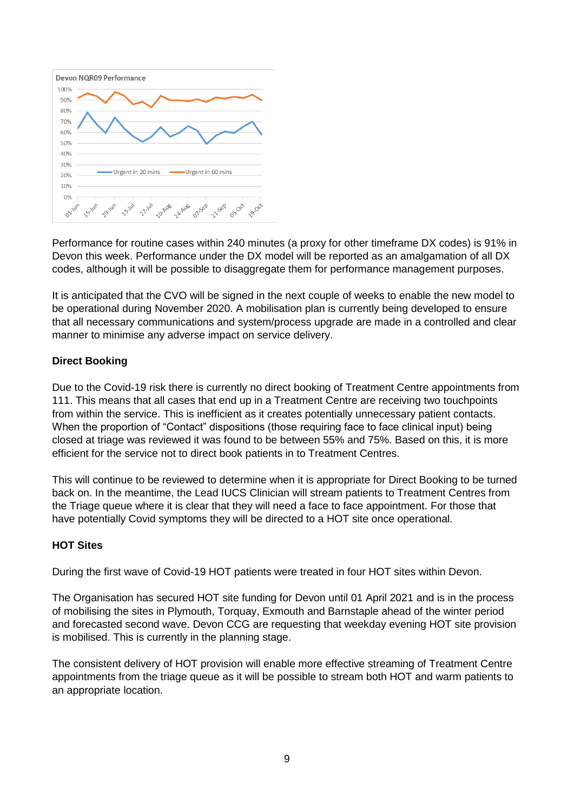

Performance for routine cases within 240 minutes (a proxy for other timeframe DX codes) is 91% in Devon this week. Performance under the DX model will be reported as an amalgamation of all DX codes, although it will be possible to disaggregate them for performance management purposes.

It is anticipated that the CVO will be signed in the next couple of weeks to enable the new model to be operational during November 2020. A mobilisation plan is currently being developed to ensure that all necessary communications and system/process upgrade are made in a controlled and clear manner to minimise any adverse impact on service delivery.

#### **Direct Booking**

Due to the Covid-19 risk there is currently no direct booking of Treatment Centre appointments from 111. This means that all cases that end up in a Treatment Centre are receiving two touchpoints from within the service. This is inefficient as it creates potentially unnecessary patient contacts. When the proportion of "Contact" dispositions (those requiring face to face clinical input) being closed at triage was reviewed it was found to be between 55% and 75%. Based on this, it is more efficient for the service not to direct book patients in to Treatment Centres.

This will continue to be reviewed to determine when it is appropriate for Direct Booking to be turned back on. In the meantime, the Lead IUCS Clinician will stream patients to Treatment Centres from the Triage queue where it is clear that they will need a face to face appointment. For those that have potentially Covid symptoms they will be directed to a HOT site once operational.

#### **HOT Sites**

During the first wave of Covid-19 HOT patients were treated in four HOT sites within Devon.

The Organisation has secured HOT site funding for Devon until 01 April 2021 and is in the process of mobilising the sites in Plymouth, Torquay, Exmouth and Barnstaple ahead of the winter period and forecasted second wave. Devon CCG are requesting that weekday evening HOT site provision is mobilised. This is currently in the planning stage.

The consistent delivery of HOT provision will enable more effective streaming of Treatment Centre appointments from the triage queue as it will be possible to stream both HOT and warm patients to an appropriate location.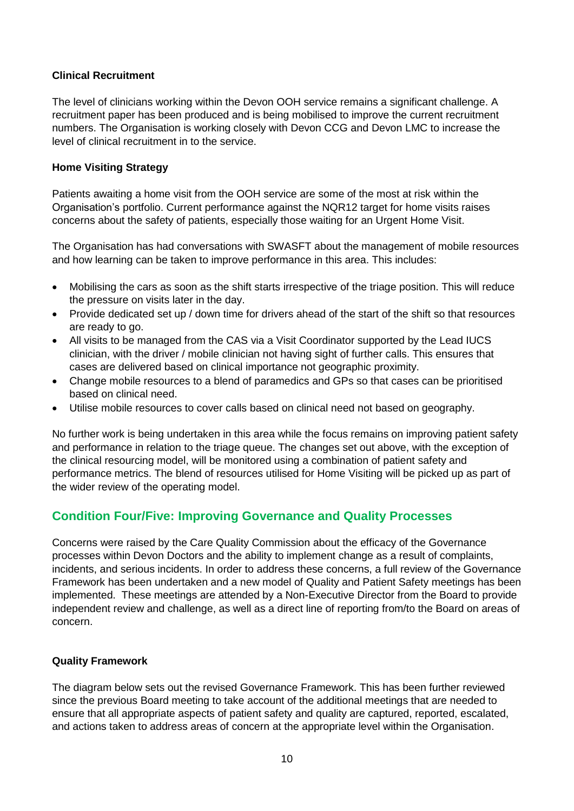#### **Clinical Recruitment**

The level of clinicians working within the Devon OOH service remains a significant challenge. A recruitment paper has been produced and is being mobilised to improve the current recruitment numbers. The Organisation is working closely with Devon CCG and Devon LMC to increase the level of clinical recruitment in to the service.

#### **Home Visiting Strategy**

Patients awaiting a home visit from the OOH service are some of the most at risk within the Organisation's portfolio. Current performance against the NQR12 target for home visits raises concerns about the safety of patients, especially those waiting for an Urgent Home Visit.

The Organisation has had conversations with SWASFT about the management of mobile resources and how learning can be taken to improve performance in this area. This includes:

- Mobilising the cars as soon as the shift starts irrespective of the triage position. This will reduce the pressure on visits later in the day.
- Provide dedicated set up / down time for drivers ahead of the start of the shift so that resources are ready to go.
- All visits to be managed from the CAS via a Visit Coordinator supported by the Lead IUCS clinician, with the driver / mobile clinician not having sight of further calls. This ensures that cases are delivered based on clinical importance not geographic proximity.
- Change mobile resources to a blend of paramedics and GPs so that cases can be prioritised based on clinical need.
- Utilise mobile resources to cover calls based on clinical need not based on geography.

No further work is being undertaken in this area while the focus remains on improving patient safety and performance in relation to the triage queue. The changes set out above, with the exception of the clinical resourcing model, will be monitored using a combination of patient safety and performance metrics. The blend of resources utilised for Home Visiting will be picked up as part of the wider review of the operating model.

## **Condition Four/Five: Improving Governance and Quality Processes**

Concerns were raised by the Care Quality Commission about the efficacy of the Governance processes within Devon Doctors and the ability to implement change as a result of complaints, incidents, and serious incidents. In order to address these concerns, a full review of the Governance Framework has been undertaken and a new model of Quality and Patient Safety meetings has been implemented. These meetings are attended by a Non-Executive Director from the Board to provide independent review and challenge, as well as a direct line of reporting from/to the Board on areas of concern.

#### **Quality Framework**

The diagram below sets out the revised Governance Framework. This has been further reviewed since the previous Board meeting to take account of the additional meetings that are needed to ensure that all appropriate aspects of patient safety and quality are captured, reported, escalated, and actions taken to address areas of concern at the appropriate level within the Organisation.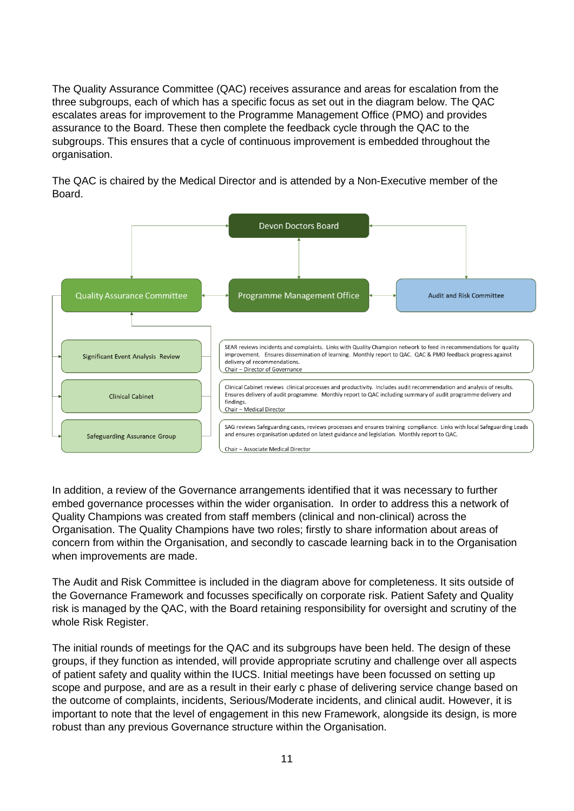The Quality Assurance Committee (QAC) receives assurance and areas for escalation from the three subgroups, each of which has a specific focus as set out in the diagram below. The QAC escalates areas for improvement to the Programme Management Office (PMO) and provides assurance to the Board. These then complete the feedback cycle through the QAC to the subgroups. This ensures that a cycle of continuous improvement is embedded throughout the organisation.

The QAC is chaired by the Medical Director and is attended by a Non-Executive member of the Board.



In addition, a review of the Governance arrangements identified that it was necessary to further embed governance processes within the wider organisation. In order to address this a network of Quality Champions was created from staff members (clinical and non-clinical) across the Organisation. The Quality Champions have two roles; firstly to share information about areas of concern from within the Organisation, and secondly to cascade learning back in to the Organisation when improvements are made.

The Audit and Risk Committee is included in the diagram above for completeness. It sits outside of the Governance Framework and focusses specifically on corporate risk. Patient Safety and Quality risk is managed by the QAC, with the Board retaining responsibility for oversight and scrutiny of the whole Risk Register.

The initial rounds of meetings for the QAC and its subgroups have been held. The design of these groups, if they function as intended, will provide appropriate scrutiny and challenge over all aspects of patient safety and quality within the IUCS. Initial meetings have been focussed on setting up scope and purpose, and are as a result in their early c phase of delivering service change based on the outcome of complaints, incidents, Serious/Moderate incidents, and clinical audit. However, it is important to note that the level of engagement in this new Framework, alongside its design, is more robust than any previous Governance structure within the Organisation.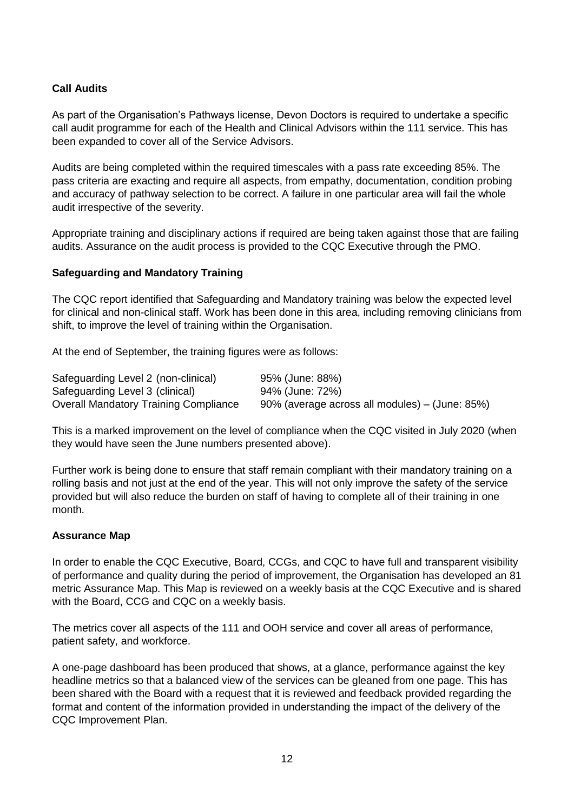#### **Call Audits**

As part of the Organisation's Pathways license, Devon Doctors is required to undertake a specific call audit programme for each of the Health and Clinical Advisors within the 111 service. This has been expanded to cover all of the Service Advisors.

Audits are being completed within the required timescales with a pass rate exceeding 85%. The pass criteria are exacting and require all aspects, from empathy, documentation, condition probing and accuracy of pathway selection to be correct. A failure in one particular area will fail the whole audit irrespective of the severity.

Appropriate training and disciplinary actions if required are being taken against those that are failing audits. Assurance on the audit process is provided to the CQC Executive through the PMO.

#### **Safeguarding and Mandatory Training**

The CQC report identified that Safeguarding and Mandatory training was below the expected level for clinical and non-clinical staff. Work has been done in this area, including removing clinicians from shift, to improve the level of training within the Organisation.

At the end of September, the training figures were as follows:

| Safeguarding Level 2 (non-clinical)          | 95% (June: 88%)                                |
|----------------------------------------------|------------------------------------------------|
| Safeguarding Level 3 (clinical)              | 94% (June: 72%)                                |
| <b>Overall Mandatory Training Compliance</b> | 90% (average across all modules) – (June: 85%) |

This is a marked improvement on the level of compliance when the CQC visited in July 2020 (when they would have seen the June numbers presented above).

Further work is being done to ensure that staff remain compliant with their mandatory training on a rolling basis and not just at the end of the year. This will not only improve the safety of the service provided but will also reduce the burden on staff of having to complete all of their training in one month.

#### **Assurance Map**

In order to enable the CQC Executive, Board, CCGs, and CQC to have full and transparent visibility of performance and quality during the period of improvement, the Organisation has developed an 81 metric Assurance Map. This Map is reviewed on a weekly basis at the CQC Executive and is shared with the Board, CCG and CQC on a weekly basis.

The metrics cover all aspects of the 111 and OOH service and cover all areas of performance, patient safety, and workforce.

A one-page dashboard has been produced that shows, at a glance, performance against the key headline metrics so that a balanced view of the services can be gleaned from one page. This has been shared with the Board with a request that it is reviewed and feedback provided regarding the format and content of the information provided in understanding the impact of the delivery of the CQC Improvement Plan.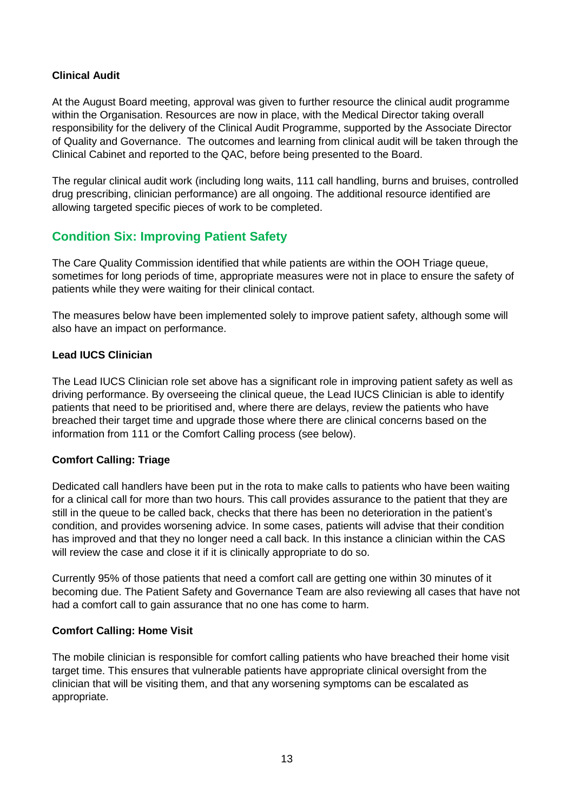#### **Clinical Audit**

At the August Board meeting, approval was given to further resource the clinical audit programme within the Organisation. Resources are now in place, with the Medical Director taking overall responsibility for the delivery of the Clinical Audit Programme, supported by the Associate Director of Quality and Governance. The outcomes and learning from clinical audit will be taken through the Clinical Cabinet and reported to the QAC, before being presented to the Board.

The regular clinical audit work (including long waits, 111 call handling, burns and bruises, controlled drug prescribing, clinician performance) are all ongoing. The additional resource identified are allowing targeted specific pieces of work to be completed.

## **Condition Six: Improving Patient Safety**

The Care Quality Commission identified that while patients are within the OOH Triage queue, sometimes for long periods of time, appropriate measures were not in place to ensure the safety of patients while they were waiting for their clinical contact.

The measures below have been implemented solely to improve patient safety, although some will also have an impact on performance.

#### **Lead IUCS Clinician**

The Lead IUCS Clinician role set above has a significant role in improving patient safety as well as driving performance. By overseeing the clinical queue, the Lead IUCS Clinician is able to identify patients that need to be prioritised and, where there are delays, review the patients who have breached their target time and upgrade those where there are clinical concerns based on the information from 111 or the Comfort Calling process (see below).

#### **Comfort Calling: Triage**

Dedicated call handlers have been put in the rota to make calls to patients who have been waiting for a clinical call for more than two hours. This call provides assurance to the patient that they are still in the queue to be called back, checks that there has been no deterioration in the patient's condition, and provides worsening advice. In some cases, patients will advise that their condition has improved and that they no longer need a call back. In this instance a clinician within the CAS will review the case and close it if it is clinically appropriate to do so.

Currently 95% of those patients that need a comfort call are getting one within 30 minutes of it becoming due. The Patient Safety and Governance Team are also reviewing all cases that have not had a comfort call to gain assurance that no one has come to harm.

#### **Comfort Calling: Home Visit**

The mobile clinician is responsible for comfort calling patients who have breached their home visit target time. This ensures that vulnerable patients have appropriate clinical oversight from the clinician that will be visiting them, and that any worsening symptoms can be escalated as appropriate.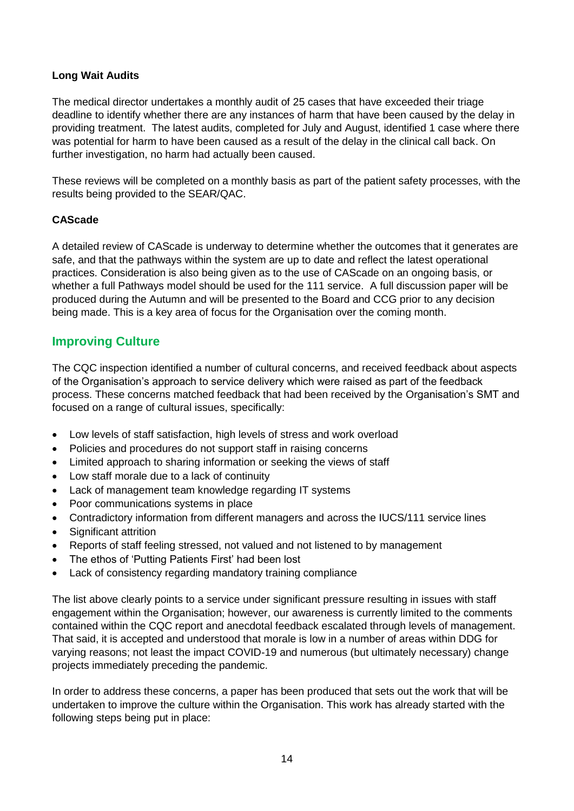#### **Long Wait Audits**

The medical director undertakes a monthly audit of 25 cases that have exceeded their triage deadline to identify whether there are any instances of harm that have been caused by the delay in providing treatment. The latest audits, completed for July and August, identified 1 case where there was potential for harm to have been caused as a result of the delay in the clinical call back. On further investigation, no harm had actually been caused.

These reviews will be completed on a monthly basis as part of the patient safety processes, with the results being provided to the SEAR/QAC.

#### **CAScade**

A detailed review of CAScade is underway to determine whether the outcomes that it generates are safe, and that the pathways within the system are up to date and reflect the latest operational practices. Consideration is also being given as to the use of CAScade on an ongoing basis, or whether a full Pathways model should be used for the 111 service. A full discussion paper will be produced during the Autumn and will be presented to the Board and CCG prior to any decision being made. This is a key area of focus for the Organisation over the coming month.

## **Improving Culture**

The CQC inspection identified a number of cultural concerns, and received feedback about aspects of the Organisation's approach to service delivery which were raised as part of the feedback process. These concerns matched feedback that had been received by the Organisation's SMT and focused on a range of cultural issues, specifically:

- Low levels of staff satisfaction, high levels of stress and work overload
- Policies and procedures do not support staff in raising concerns
- Limited approach to sharing information or seeking the views of staff
- Low staff morale due to a lack of continuity
- Lack of management team knowledge regarding IT systems
- Poor communications systems in place
- Contradictory information from different managers and across the IUCS/111 service lines
- Significant attrition
- Reports of staff feeling stressed, not valued and not listened to by management
- The ethos of 'Putting Patients First' had been lost
- Lack of consistency regarding mandatory training compliance

The list above clearly points to a service under significant pressure resulting in issues with staff engagement within the Organisation; however, our awareness is currently limited to the comments contained within the CQC report and anecdotal feedback escalated through levels of management. That said, it is accepted and understood that morale is low in a number of areas within DDG for varying reasons; not least the impact COVID-19 and numerous (but ultimately necessary) change projects immediately preceding the pandemic.

In order to address these concerns, a paper has been produced that sets out the work that will be undertaken to improve the culture within the Organisation. This work has already started with the following steps being put in place: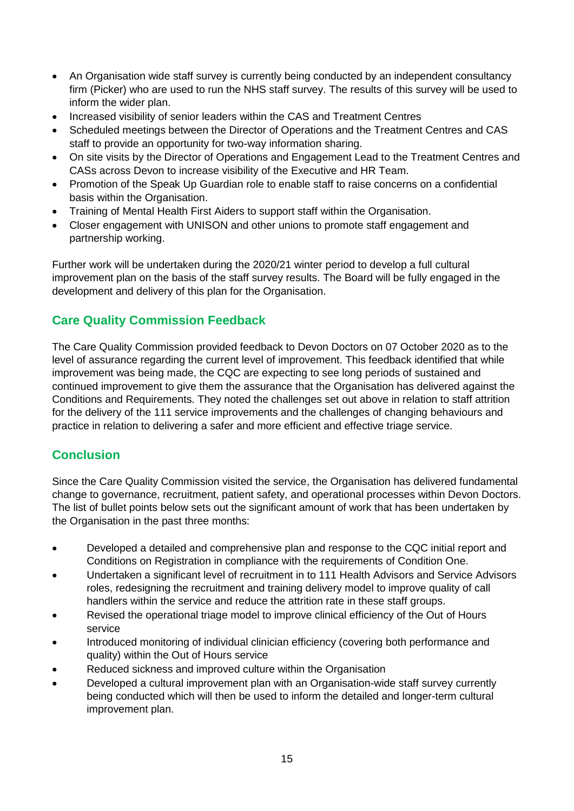- An Organisation wide staff survey is currently being conducted by an independent consultancy firm (Picker) who are used to run the NHS staff survey. The results of this survey will be used to inform the wider plan.
- Increased visibility of senior leaders within the CAS and Treatment Centres
- Scheduled meetings between the Director of Operations and the Treatment Centres and CAS staff to provide an opportunity for two-way information sharing.
- On site visits by the Director of Operations and Engagement Lead to the Treatment Centres and CASs across Devon to increase visibility of the Executive and HR Team.
- Promotion of the Speak Up Guardian role to enable staff to raise concerns on a confidential basis within the Organisation.
- Training of Mental Health First Aiders to support staff within the Organisation.
- Closer engagement with UNISON and other unions to promote staff engagement and partnership working.

Further work will be undertaken during the 2020/21 winter period to develop a full cultural improvement plan on the basis of the staff survey results. The Board will be fully engaged in the development and delivery of this plan for the Organisation.

## **Care Quality Commission Feedback**

The Care Quality Commission provided feedback to Devon Doctors on 07 October 2020 as to the level of assurance regarding the current level of improvement. This feedback identified that while improvement was being made, the CQC are expecting to see long periods of sustained and continued improvement to give them the assurance that the Organisation has delivered against the Conditions and Requirements. They noted the challenges set out above in relation to staff attrition for the delivery of the 111 service improvements and the challenges of changing behaviours and practice in relation to delivering a safer and more efficient and effective triage service.

## **Conclusion**

Since the Care Quality Commission visited the service, the Organisation has delivered fundamental change to governance, recruitment, patient safety, and operational processes within Devon Doctors. The list of bullet points below sets out the significant amount of work that has been undertaken by the Organisation in the past three months:

- Developed a detailed and comprehensive plan and response to the CQC initial report and Conditions on Registration in compliance with the requirements of Condition One.
- Undertaken a significant level of recruitment in to 111 Health Advisors and Service Advisors roles, redesigning the recruitment and training delivery model to improve quality of call handlers within the service and reduce the attrition rate in these staff groups.
- Revised the operational triage model to improve clinical efficiency of the Out of Hours service
- Introduced monitoring of individual clinician efficiency (covering both performance and quality) within the Out of Hours service
- Reduced sickness and improved culture within the Organisation
- Developed a cultural improvement plan with an Organisation-wide staff survey currently being conducted which will then be used to inform the detailed and longer-term cultural improvement plan.